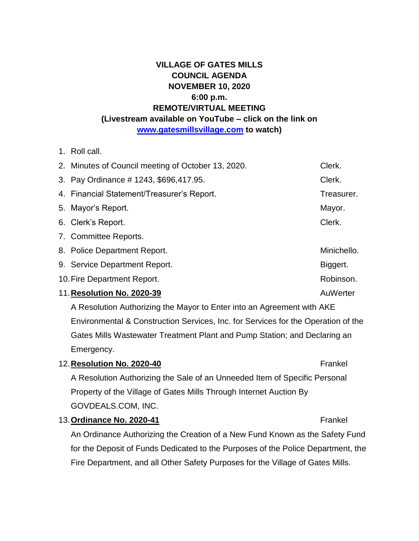## **VILLAGE OF GATES MILLS COUNCIL AGENDA NOVEMBER 10, 2020 6:00 p.m. REMOTE/VIRTUAL MEETING (Livestream available on YouTube – click on the link on [www.gatesmillsvillage.com](http://www.gatesmillsvillage.com/) to watch)**

1. Roll call.

| 2. Minutes of Council meeting of October 13, 2020. | Clerk.      |
|----------------------------------------------------|-------------|
| 3. Pay Ordinance # 1243, \$696, 417.95.            | Clerk.      |
| 4. Financial Statement/Treasurer's Report.         | Treasurer.  |
| 5. Mayor's Report.                                 | Mayor.      |
| 6. Clerk's Report.                                 | Clerk.      |
| 7. Committee Reports.                              |             |
| 8. Police Department Report.                       | Minichello. |
| 9. Service Department Report.                      | Biggert.    |
| 10. Fire Department Report.                        | Robinson.   |
| 11. Resolution No. 2020-39                         | AuWerter    |

A Resolution Authorizing the Mayor to Enter into an Agreement with AKE Environmental & Construction Services, Inc. for Services for the Operation of the Gates Mills Wastewater Treatment Plant and Pump Station; and Declaring an Emergency.

### 12. **Resolution No. 2020-40 Frankel**

A Resolution Authorizing the Sale of an Unneeded Item of Specific Personal Property of the Village of Gates Mills Through Internet Auction By GOVDEALS.COM, INC.

13. Ordinance No. 2020-41 **Frankel** 

# An Ordinance Authorizing the Creation of a New Fund Known as the Safety Fund for the Deposit of Funds Dedicated to the Purposes of the Police Department, the Fire Department, and all Other Safety Purposes for the Village of Gates Mills.